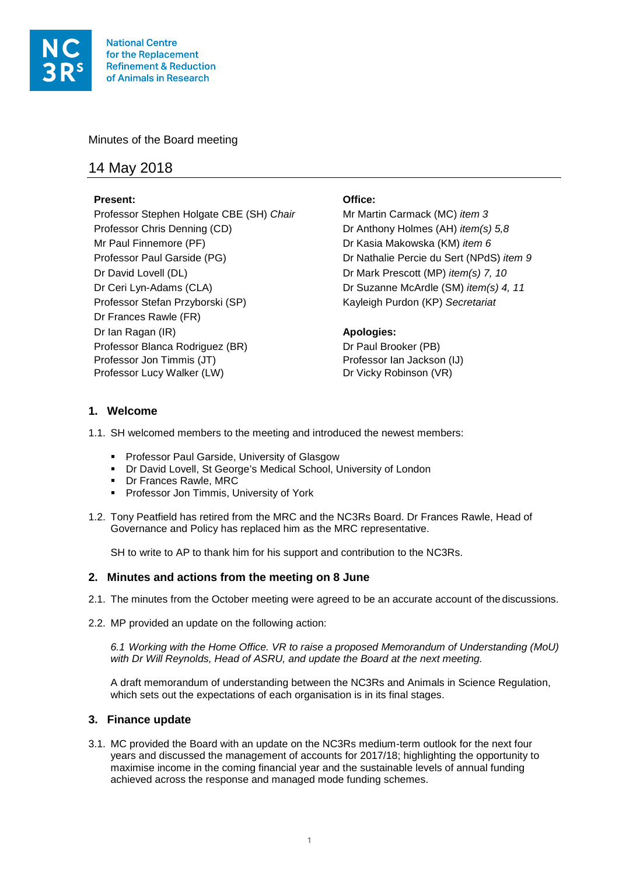

Minutes of the Board meeting

# 14 May 2018

# **Present: Office:**

Professor Stephen Holgate CBE (SH) *Chair* Mr Martin Carmack (MC) *item 3* Professor Chris Denning (CD) Dr Anthony Holmes (AH) *item(s) 5,8* Mr Paul Finnemore (PF) Dr Kasia Makowska (KM) *item 6* Professor Paul Garside (PG) Dr Nathalie Percie du Sert (NPdS) *item 9* Dr David Lovell (DL) Dr Mark Prescott (MP) *item(s) 7, 10*  Dr Ceri Lyn-Adams (CLA) Dr Suzanne McArdle (SM) *item(s) 4, 11* Professor Stefan Przyborski (SP) Kayleigh Purdon (KP) *Secretariat* Dr Frances Rawle (FR) Dr Ian Ragan (IR) **Apologies:**  Professor Blanca Rodriguez (BR) Dr Paul Brooker (PB) Professor Jon Timmis (JT) Professor Ian Jackson (IJ) Professor Lucy Walker (LW) Dr Vicky Robinson (VR)

# **1. Welcome**

1.1. SH welcomed members to the meeting and introduced the newest members:

- **Professor Paul Garside, University of Glasgow**
- Dr David Lovell, St George's Medical School, University of London
- **Dr Frances Rawle, MRC**
- **Professor Jon Timmis, University of York**
- 1.2. Tony Peatfield has retired from the MRC and the NC3Rs Board. Dr Frances Rawle, Head of Governance and Policy has replaced him as the MRC representative.

SH to write to AP to thank him for his support and contribution to the NC3Rs.

# **2. Minutes and actions from the meeting on 8 June**

- 2.1. The minutes from the October meeting were agreed to be an accurate account of the discussions.
- 2.2. MP provided an update on the following action:

*6.1 Working with the Home Office. VR to raise a proposed Memorandum of Understanding (MoU) with Dr Will Reynolds, Head of ASRU, and update the Board at the next meeting.*

A draft memorandum of understanding between the NC3Rs and Animals in Science Regulation, which sets out the expectations of each organisation is in its final stages.

# **3. Finance update**

3.1. MC provided the Board with an update on the NC3Rs medium-term outlook for the next four years and discussed the management of accounts for 2017/18; highlighting the opportunity to maximise income in the coming financial year and the sustainable levels of annual funding achieved across the response and managed mode funding schemes.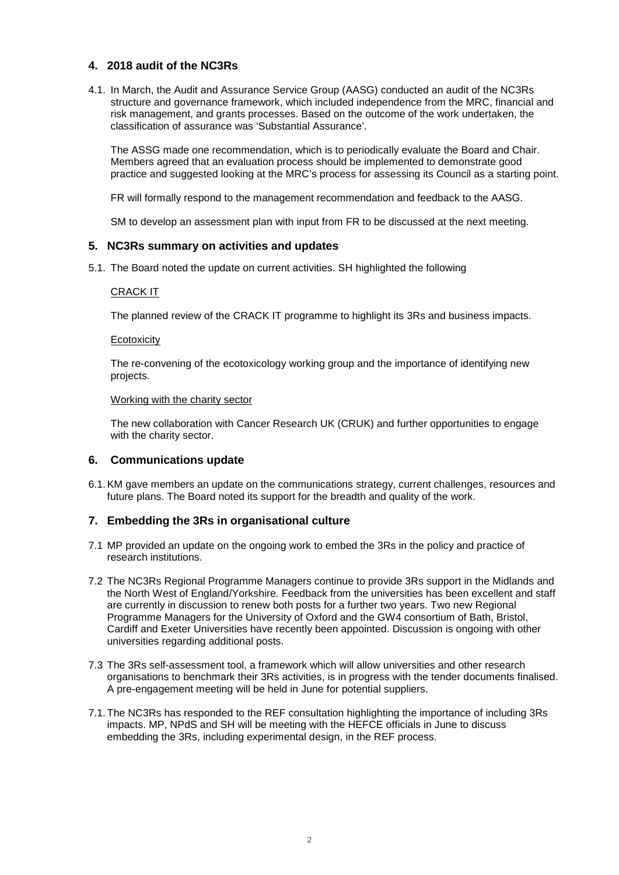# **4. 2018 audit of the NC3Rs**

4.1. In March, the Audit and Assurance Service Group (AASG) conducted an audit of the NC3Rs structure and governance framework, which included independence from the MRC, financial and risk management, and grants processes. Based on the outcome of the work undertaken, the classification of assurance was 'Substantial Assurance'.

The ASSG made one recommendation, which is to periodically evaluate the Board and Chair. Members agreed that an evaluation process should be implemented to demonstrate good practice and suggested looking at the MRC's process for assessing its Council as a starting point.

FR will formally respond to the management recommendation and feedback to the AASG.

SM to develop an assessment plan with input from FR to be discussed at the next meeting.

# **5. NC3Rs summary on activities and updates**

5.1. The Board noted the update on current activities. SH highlighted the following

#### CRACK IT

The planned review of the CRACK IT programme to highlight its 3Rs and business impacts.

#### **Ecotoxicity**

The re-convening of the ecotoxicology working group and the importance of identifying new projects.

#### Working with the charity sector

The new collaboration with Cancer Research UK (CRUK) and further opportunities to engage with the charity sector.

# **6. Communications update**

6.1.KM gave members an update on the communications strategy, current challenges, resources and future plans. The Board noted its support for the breadth and quality of the work.

# **7. Embedding the 3Rs in organisational culture**

- 7.1 MP provided an update on the ongoing work to embed the 3Rs in the policy and practice of research institutions.
- 7.2 The NC3Rs Regional Programme Managers continue to provide 3Rs support in the Midlands and the North West of England/Yorkshire. Feedback from the universities has been excellent and staff are currently in discussion to renew both posts for a further two years. Two new Regional Programme Managers for the University of Oxford and the GW4 consortium of Bath, Bristol, Cardiff and Exeter Universities have recently been appointed. Discussion is ongoing with other universities regarding additional posts.
- 7.3 The 3Rs self-assessment tool, a framework which will allow universities and other research organisations to benchmark their 3Rs activities, is in progress with the tender documents finalised. A pre-engagement meeting will be held in June for potential suppliers.
- 7.1.The NC3Rs has responded to the REF consultation highlighting the importance of including 3Rs impacts. MP, NPdS and SH will be meeting with the HEFCE officials in June to discuss embedding the 3Rs, including experimental design, in the REF process.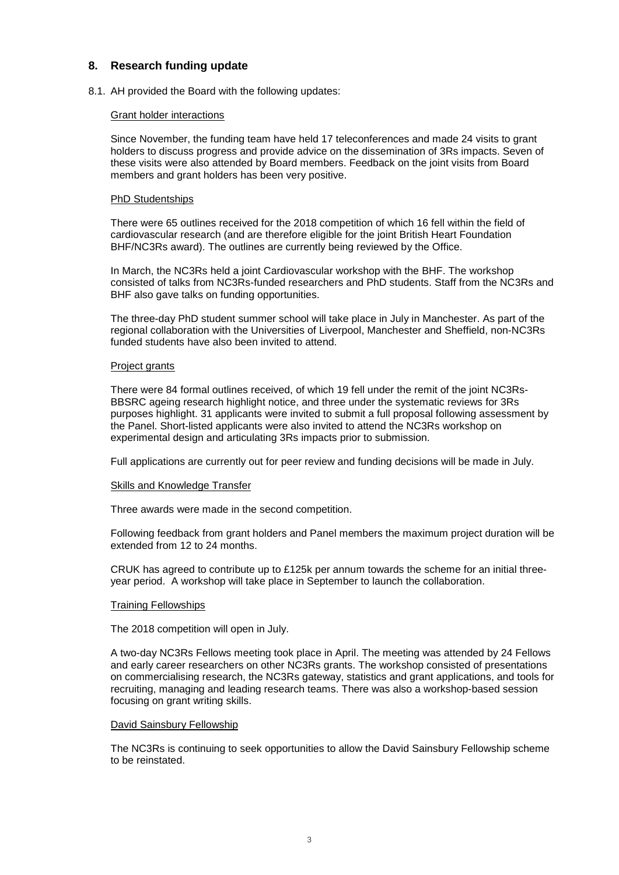# **8. Research funding update**

8.1. AH provided the Board with the following updates:

#### Grant holder interactions

Since November, the funding team have held 17 teleconferences and made 24 visits to grant holders to discuss progress and provide advice on the dissemination of 3Rs impacts. Seven of these visits were also attended by Board members. Feedback on the joint visits from Board members and grant holders has been very positive.

#### PhD Studentships

There were 65 outlines received for the 2018 competition of which 16 fell within the field of cardiovascular research (and are therefore eligible for the joint British Heart Foundation BHF/NC3Rs award). The outlines are currently being reviewed by the Office.

In March, the NC3Rs held a joint Cardiovascular workshop with the BHF. The workshop consisted of talks from NC3Rs-funded researchers and PhD students. Staff from the NC3Rs and BHF also gave talks on funding opportunities.

The three-day PhD student summer school will take place in July in Manchester. As part of the regional collaboration with the Universities of Liverpool, Manchester and Sheffield, non-NC3Rs funded students have also been invited to attend.

#### Project grants

There were 84 formal outlines received, of which 19 fell under the remit of the joint NC3Rs-BBSRC ageing research highlight notice, and three under the systematic reviews for 3Rs purposes highlight. 31 applicants were invited to submit a full proposal following assessment by the Panel. Short-listed applicants were also invited to attend the NC3Rs workshop on experimental design and articulating 3Rs impacts prior to submission.

Full applications are currently out for peer review and funding decisions will be made in July.

#### Skills and Knowledge Transfer

Three awards were made in the second competition.

Following feedback from grant holders and Panel members the maximum project duration will be extended from 12 to 24 months.

CRUK has agreed to contribute up to £125k per annum towards the scheme for an initial threeyear period. A workshop will take place in September to launch the collaboration.

#### Training Fellowships

The 2018 competition will open in July.

A two-day NC3Rs Fellows meeting took place in April. The meeting was attended by 24 Fellows and early career researchers on other NC3Rs grants. The workshop consisted of presentations on commercialising research, the NC3Rs gateway, statistics and grant applications, and tools for recruiting, managing and leading research teams. There was also a workshop-based session focusing on grant writing skills.

#### David Sainsbury Fellowship

The NC3Rs is continuing to seek opportunities to allow the David Sainsbury Fellowship scheme to be reinstated.